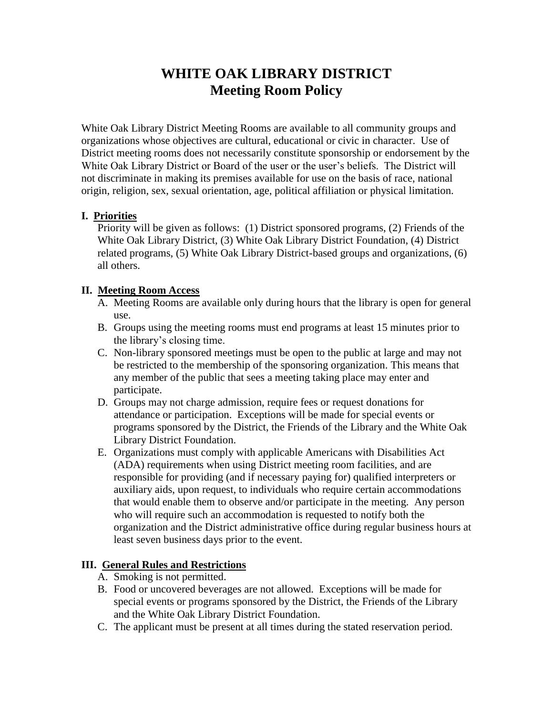# **WHITE OAK LIBRARY DISTRICT Meeting Room Policy**

White Oak Library District Meeting Rooms are available to all community groups and organizations whose objectives are cultural, educational or civic in character. Use of District meeting rooms does not necessarily constitute sponsorship or endorsement by the White Oak Library District or Board of the user or the user's beliefs. The District will not discriminate in making its premises available for use on the basis of race, national origin, religion, sex, sexual orientation, age, political affiliation or physical limitation.

#### **I. Priorities**

Priority will be given as follows: (1) District sponsored programs, (2) Friends of the White Oak Library District, (3) White Oak Library District Foundation, (4) District related programs, (5) White Oak Library District-based groups and organizations, (6) all others.

#### **II. Meeting Room Access**

- A. Meeting Rooms are available only during hours that the library is open for general use.
- B. Groups using the meeting rooms must end programs at least 15 minutes prior to the library's closing time.
- C. Non-library sponsored meetings must be open to the public at large and may not be restricted to the membership of the sponsoring organization. This means that any member of the public that sees a meeting taking place may enter and participate.
- D. Groups may not charge admission, require fees or request donations for attendance or participation. Exceptions will be made for special events or programs sponsored by the District, the Friends of the Library and the White Oak Library District Foundation.
- E. Organizations must comply with applicable Americans with Disabilities Act (ADA) requirements when using District meeting room facilities, and are responsible for providing (and if necessary paying for) qualified interpreters or auxiliary aids, upon request, to individuals who require certain accommodations that would enable them to observe and/or participate in the meeting. Any person who will require such an accommodation is requested to notify both the organization and the District administrative office during regular business hours at least seven business days prior to the event.

## **III. General Rules and Restrictions**

- A. Smoking is not permitted.
- B. Food or uncovered beverages are not allowed. Exceptions will be made for special events or programs sponsored by the District, the Friends of the Library and the White Oak Library District Foundation.
- C. The applicant must be present at all times during the stated reservation period.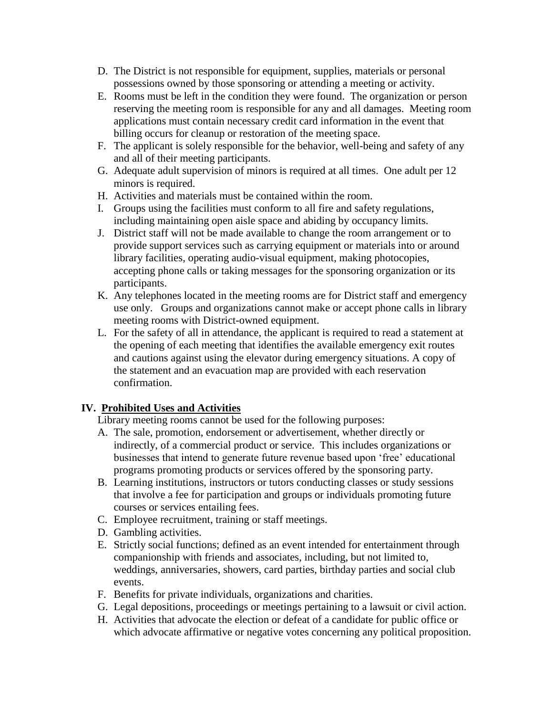- D. The District is not responsible for equipment, supplies, materials or personal possessions owned by those sponsoring or attending a meeting or activity.
- E. Rooms must be left in the condition they were found. The organization or person reserving the meeting room is responsible for any and all damages. Meeting room applications must contain necessary credit card information in the event that billing occurs for cleanup or restoration of the meeting space.
- F. The applicant is solely responsible for the behavior, well-being and safety of any and all of their meeting participants.
- G. Adequate adult supervision of minors is required at all times. One adult per 12 minors is required.
- H. Activities and materials must be contained within the room.
- I. Groups using the facilities must conform to all fire and safety regulations, including maintaining open aisle space and abiding by occupancy limits.
- J. District staff will not be made available to change the room arrangement or to provide support services such as carrying equipment or materials into or around library facilities, operating audio-visual equipment, making photocopies, accepting phone calls or taking messages for the sponsoring organization or its participants.
- K. Any telephones located in the meeting rooms are for District staff and emergency use only. Groups and organizations cannot make or accept phone calls in library meeting rooms with District-owned equipment.
- L. For the safety of all in attendance, the applicant is required to read a statement at the opening of each meeting that identifies the available emergency exit routes and cautions against using the elevator during emergency situations. A copy of the statement and an evacuation map are provided with each reservation confirmation.

## **IV. Prohibited Uses and Activities**

Library meeting rooms cannot be used for the following purposes:

- A. The sale, promotion, endorsement or advertisement, whether directly or indirectly, of a commercial product or service. This includes organizations or businesses that intend to generate future revenue based upon 'free' educational programs promoting products or services offered by the sponsoring party.
- B. Learning institutions, instructors or tutors conducting classes or study sessions that involve a fee for participation and groups or individuals promoting future courses or services entailing fees.
- C. Employee recruitment, training or staff meetings.
- D. Gambling activities.
- E. Strictly social functions; defined as an event intended for entertainment through companionship with friends and associates, including, but not limited to, weddings, anniversaries, showers, card parties, birthday parties and social club events.
- F. Benefits for private individuals, organizations and charities.
- G. Legal depositions, proceedings or meetings pertaining to a lawsuit or civil action.
- H. Activities that advocate the election or defeat of a candidate for public office or which advocate affirmative or negative votes concerning any political proposition.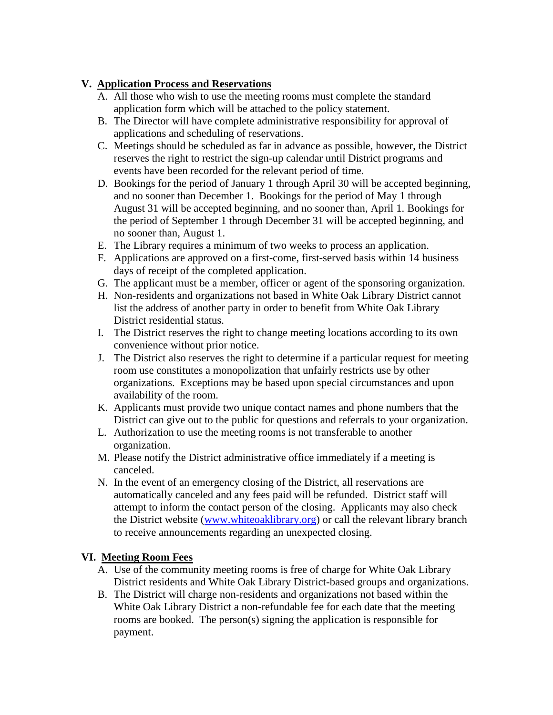## **V. Application Process and Reservations**

- A. All those who wish to use the meeting rooms must complete the standard application form which will be attached to the policy statement.
- B. The Director will have complete administrative responsibility for approval of applications and scheduling of reservations.
- C. Meetings should be scheduled as far in advance as possible, however, the District reserves the right to restrict the sign-up calendar until District programs and events have been recorded for the relevant period of time.
- D. Bookings for the period of January 1 through April 30 will be accepted beginning, and no sooner than December 1. Bookings for the period of May 1 through August 31 will be accepted beginning, and no sooner than, April 1. Bookings for the period of September 1 through December 31 will be accepted beginning, and no sooner than, August 1.
- E. The Library requires a minimum of two weeks to process an application.
- F. Applications are approved on a first-come, first-served basis within 14 business days of receipt of the completed application.
- G. The applicant must be a member, officer or agent of the sponsoring organization.
- H. Non-residents and organizations not based in White Oak Library District cannot list the address of another party in order to benefit from White Oak Library District residential status.
- I. The District reserves the right to change meeting locations according to its own convenience without prior notice.
- J. The District also reserves the right to determine if a particular request for meeting room use constitutes a monopolization that unfairly restricts use by other organizations. Exceptions may be based upon special circumstances and upon availability of the room.
- K. Applicants must provide two unique contact names and phone numbers that the District can give out to the public for questions and referrals to your organization.
- L. Authorization to use the meeting rooms is not transferable to another organization.
- M. Please notify the District administrative office immediately if a meeting is canceled.
- N. In the event of an emergency closing of the District, all reservations are automatically canceled and any fees paid will be refunded. District staff will attempt to inform the contact person of the closing. Applicants may also check the District website [\(www.whiteoaklibrary.org\)](http://www.whiteoaklibrary.org/) or call the relevant library branch to receive announcements regarding an unexpected closing.

## **VI. Meeting Room Fees**

- A. Use of the community meeting rooms is free of charge for White Oak Library District residents and White Oak Library District-based groups and organizations.
- B. The District will charge non-residents and organizations not based within the White Oak Library District a non-refundable fee for each date that the meeting rooms are booked. The person(s) signing the application is responsible for payment.